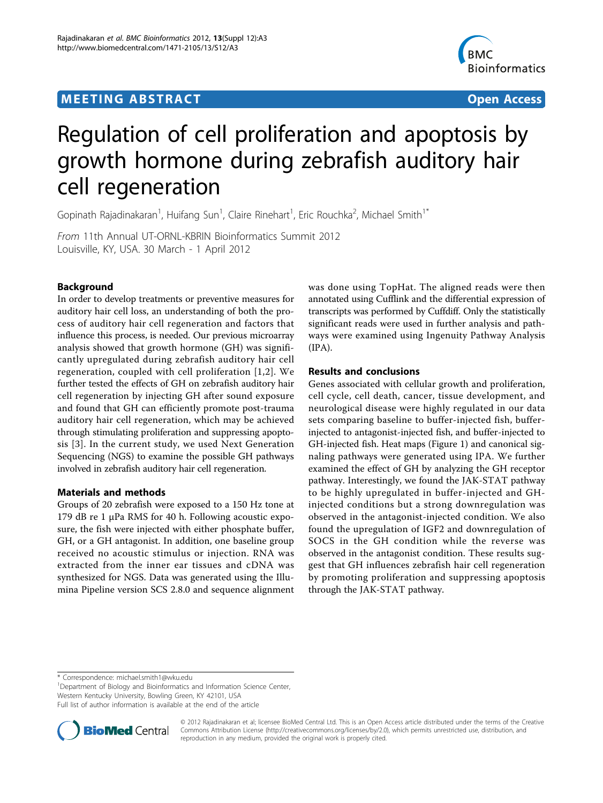# **MEETING ABSTRACT ACCESS**



# Regulation of cell proliferation and apoptosis by growth hormone during zebrafish auditory hair cell regeneration

Gopinath Rajadinakaran<sup>1</sup>, Huifang Sun<sup>1</sup>, Claire Rinehart<sup>1</sup>, Eric Rouchka<sup>2</sup>, Michael Smith<sup>1\*</sup>

From 11th Annual UT-ORNL-KBRIN Bioinformatics Summit 2012 Louisville, KY, USA. 30 March - 1 April 2012

# Background

In order to develop treatments or preventive measures for auditory hair cell loss, an understanding of both the process of auditory hair cell regeneration and factors that influence this process, is needed. Our previous microarray analysis showed that growth hormone (GH) was significantly upregulated during zebrafish auditory hair cell regeneration, coupled with cell proliferation [\[1](#page-1-0),[2](#page-1-0)]. We further tested the effects of GH on zebrafish auditory hair cell regeneration by injecting GH after sound exposure and found that GH can efficiently promote post-trauma auditory hair cell regeneration, which may be achieved through stimulating proliferation and suppressing apoptosis [[3](#page-2-0)]. In the current study, we used Next Generation Sequencing (NGS) to examine the possible GH pathways involved in zebrafish auditory hair cell regeneration.

### Materials and methods

Groups of 20 zebrafish were exposed to a 150 Hz tone at 179 dB re 1 μPa RMS for 40 h. Following acoustic exposure, the fish were injected with either phosphate buffer, GH, or a GH antagonist. In addition, one baseline group received no acoustic stimulus or injection. RNA was extracted from the inner ear tissues and cDNA was synthesized for NGS. Data was generated using the Illumina Pipeline version SCS 2.8.0 and sequence alignment was done using TopHat. The aligned reads were then annotated using Cufflink and the differential expression of transcripts was performed by Cuffdiff. Only the statistically significant reads were used in further analysis and pathways were examined using Ingenuity Pathway Analysis (IPA).

## Results and conclusions

Genes associated with cellular growth and proliferation, cell cycle, cell death, cancer, tissue development, and neurological disease were highly regulated in our data sets comparing baseline to buffer-injected fish, bufferinjected to antagonist-injected fish, and buffer-injected to GH-injected fish. Heat maps (Figure [1](#page-1-0)) and canonical signaling pathways were generated using IPA. We further examined the effect of GH by analyzing the GH receptor pathway. Interestingly, we found the JAK-STAT pathway to be highly upregulated in buffer-injected and GHinjected conditions but a strong downregulation was observed in the antagonist-injected condition. We also found the upregulation of IGF2 and downregulation of SOCS in the GH condition while the reverse was observed in the antagonist condition. These results suggest that GH influences zebrafish hair cell regeneration by promoting proliferation and suppressing apoptosis through the JAK-STAT pathway.

<sup>1</sup>Department of Biology and Bioinformatics and Information Science Center, Western Kentucky University, Bowling Green, KY 42101, USA

Full list of author information is available at the end of the article



© 2012 Rajadinakaran et al; licensee BioMed Central Ltd. This is an Open Access article distributed under the terms of the Creative Commons Attribution License [\(http://creativecommons.org/licenses/by/2.0](http://creativecommons.org/licenses/by/2.0)), which permits unrestricted use, distribution, and reproduction in any medium, provided the original work is properly cited.

<sup>\*</sup> Correspondence: [michael.smith1@wku.edu](mailto:michael.smith1@wku.edu)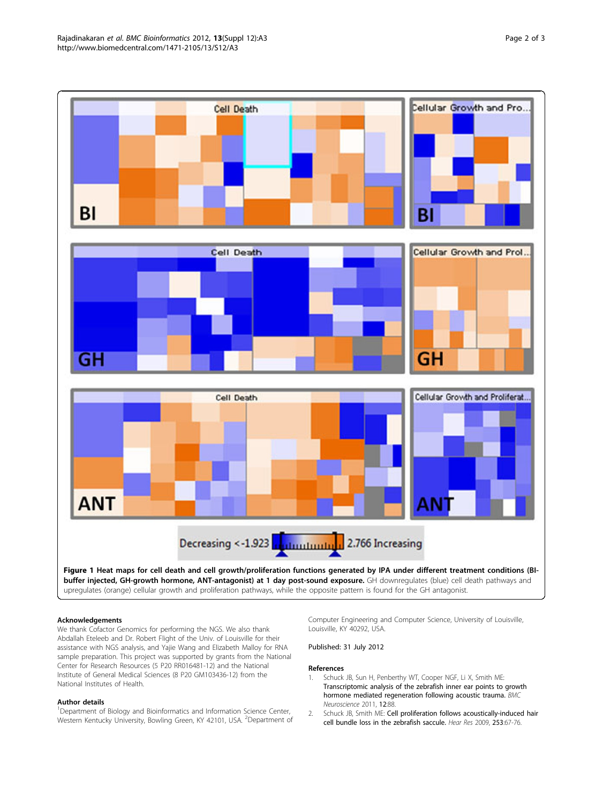<span id="page-1-0"></span>

#### Acknowledgements

We thank Cofactor Genomics for performing the NGS. We also thank Abdallah Eteleeb and Dr. Robert Flight of the Univ. of Louisville for their assistance with NGS analysis, and Yajie Wang and Elizabeth Malloy for RNA sample preparation. This project was supported by grants from the National Center for Research Resources (5 P20 RR016481-12) and the National Institute of General Medical Sciences (8 P20 GM103436-12) from the National Institutes of Health.

#### Author details

<sup>1</sup>Department of Biology and Bioinformatics and Information Science Center, Western Kentucky University, Bowling Green, KY 42101, USA. <sup>2</sup>Department of Computer Engineering and Computer Science, University of Louisville, Louisville, KY 40292, USA.

#### Published: 31 July 2012

#### References

- 1. Schuck JB, Sun H, Penberthy WT, Cooper NGF, Li X, Smith ME: [Transcriptomic analysis of the zebrafish inner ear points to growth](http://www.ncbi.nlm.nih.gov/pubmed/21888654?dopt=Abstract) [hormone mediated regeneration following acoustic trauma.](http://www.ncbi.nlm.nih.gov/pubmed/21888654?dopt=Abstract) BMC Neuroscience 2011, 12:88.
- 2. Schuck JB, Smith ME: [Cell proliferation follows acoustically-induced hair](http://www.ncbi.nlm.nih.gov/pubmed/19327392?dopt=Abstract) [cell bundle loss in the zebrafish saccule.](http://www.ncbi.nlm.nih.gov/pubmed/19327392?dopt=Abstract) Hear Res 2009, 253:67-76.